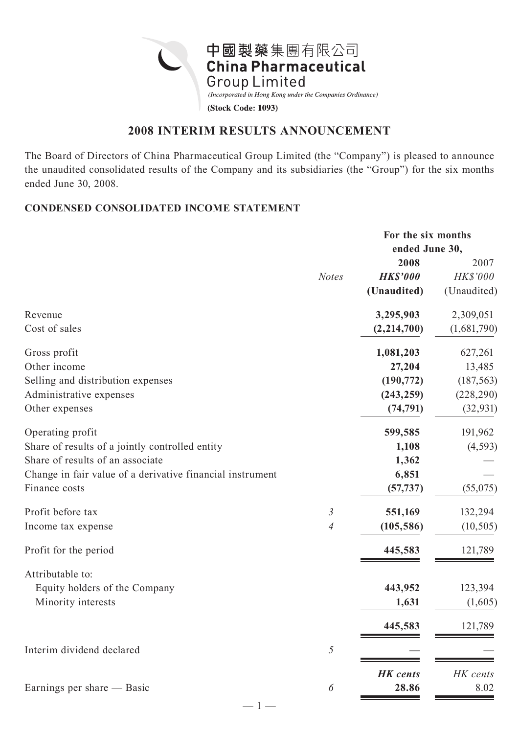

# **2008 INTERIM RESULTS ANNOUNCEMENT**

The Board of Directors of China Pharmaceutical Group Limited (the "Company") is pleased to announce the unaudited consolidated results of the Company and its subsidiaries (the "Group") for the six months ended June 30, 2008.

# **CONDENSED CONSOLIDATED INCOME STATEMENT**

|                                                           |                | For the six months |             |  |
|-----------------------------------------------------------|----------------|--------------------|-------------|--|
|                                                           |                | ended June 30,     |             |  |
|                                                           |                | 2008               | 2007        |  |
|                                                           | <b>Notes</b>   | <b>HK\$'000</b>    | HK\$'000    |  |
|                                                           |                | (Unaudited)        | (Unaudited) |  |
| Revenue                                                   |                | 3,295,903          | 2,309,051   |  |
| Cost of sales                                             |                | (2, 214, 700)      | (1,681,790) |  |
| Gross profit                                              |                | 1,081,203          | 627,261     |  |
| Other income                                              |                | 27,204             | 13,485      |  |
| Selling and distribution expenses                         |                | (190, 772)         | (187, 563)  |  |
| Administrative expenses                                   |                | (243, 259)         | (228, 290)  |  |
| Other expenses                                            |                | (74, 791)          | (32, 931)   |  |
| Operating profit                                          |                | 599,585            | 191,962     |  |
| Share of results of a jointly controlled entity           |                | 1,108              | (4, 593)    |  |
| Share of results of an associate                          |                | 1,362              |             |  |
| Change in fair value of a derivative financial instrument |                | 6,851              |             |  |
| Finance costs                                             |                | (57, 737)          | (55,075)    |  |
| Profit before tax                                         | $\mathfrak{Z}$ | 551,169            | 132,294     |  |
| Income tax expense                                        | $\overline{A}$ | (105, 586)         | (10, 505)   |  |
| Profit for the period                                     |                | 445,583            | 121,789     |  |
| Attributable to:                                          |                |                    |             |  |
| Equity holders of the Company                             |                | 443,952            | 123,394     |  |
| Minority interests                                        |                | 1,631              | (1,605)     |  |
|                                                           |                | 445,583            | 121,789     |  |
| Interim dividend declared                                 | $\sqrt{2}$     |                    |             |  |
|                                                           |                | <b>HK</b> cents    | HK cents    |  |
| Earnings per share — Basic                                | 6              | 28.86              | 8.02        |  |
|                                                           |                |                    |             |  |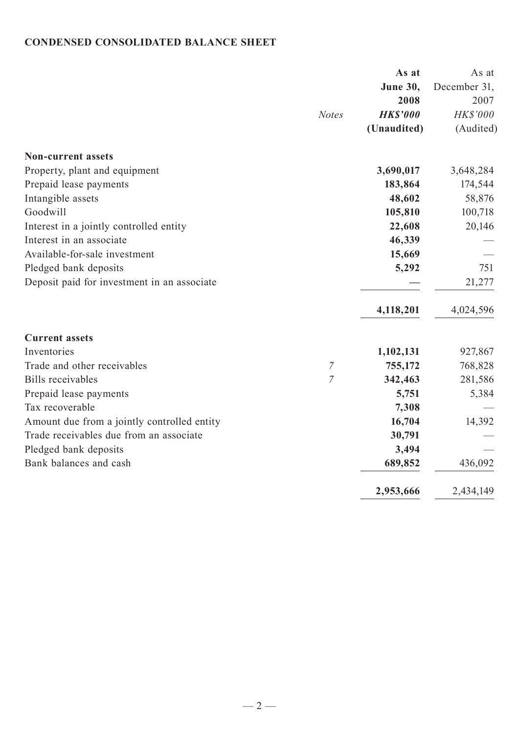# **CONDENSED CONSOLIDATED BALANCE SHEET**

|                                             | As at           | As at        |
|---------------------------------------------|-----------------|--------------|
|                                             | <b>June 30,</b> | December 31, |
|                                             | 2008            | 2007         |
| <b>Notes</b>                                | <b>HK\$'000</b> | HK\$'000     |
|                                             | (Unaudited)     | (Audited)    |
| <b>Non-current assets</b>                   |                 |              |
| Property, plant and equipment               | 3,690,017       | 3,648,284    |
| Prepaid lease payments                      | 183,864         | 174,544      |
| Intangible assets                           | 48,602          | 58,876       |
| Goodwill                                    | 105,810         | 100,718      |
| Interest in a jointly controlled entity     | 22,608          | 20,146       |
| Interest in an associate                    | 46,339          |              |
| Available-for-sale investment               | 15,669          |              |
| Pledged bank deposits                       | 5,292           | 751          |
| Deposit paid for investment in an associate |                 | 21,277       |
|                                             | 4,118,201       | 4,024,596    |
| <b>Current assets</b>                       |                 |              |
| Inventories                                 | 1,102,131       | 927,867      |
| Trade and other receivables<br>7            | 755,172         | 768,828      |
| $\overline{7}$<br><b>Bills</b> receivables  | 342,463         | 281,586      |
| Prepaid lease payments                      | 5,751           | 5,384        |
| Tax recoverable                             | 7,308           |              |
| Amount due from a jointly controlled entity | 16,704          | 14,392       |
| Trade receivables due from an associate     | 30,791          |              |
| Pledged bank deposits                       | 3,494           |              |
| Bank balances and cash                      | 689,852         | 436,092      |
|                                             | 2,953,666       | 2,434,149    |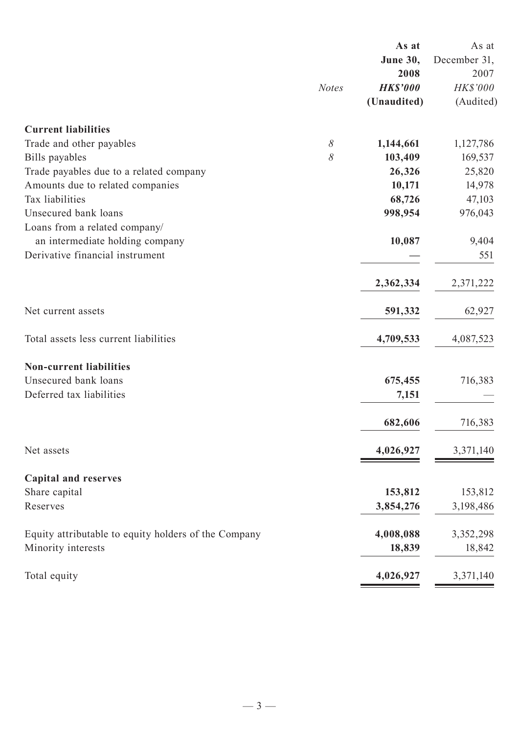|                                                      |              | As at           | As at        |
|------------------------------------------------------|--------------|-----------------|--------------|
|                                                      |              | <b>June 30,</b> | December 31, |
|                                                      |              | 2008            | 2007         |
|                                                      | <b>Notes</b> | <b>HK\$'000</b> | HK\$'000     |
|                                                      |              | (Unaudited)     | (Audited)    |
| <b>Current liabilities</b>                           |              |                 |              |
| Trade and other payables                             | $\delta$     | 1,144,661       | 1,127,786    |
| Bills payables                                       | 8            | 103,409         | 169,537      |
| Trade payables due to a related company              |              | 26,326          | 25,820       |
| Amounts due to related companies                     |              | 10,171          | 14,978       |
| Tax liabilities                                      |              | 68,726          | 47,103       |
| Unsecured bank loans                                 |              | 998,954         | 976,043      |
| Loans from a related company/                        |              |                 |              |
| an intermediate holding company                      |              | 10,087          | 9,404        |
| Derivative financial instrument                      |              |                 | 551          |
|                                                      |              | 2,362,334       | 2,371,222    |
| Net current assets                                   |              | 591,332         | 62,927       |
| Total assets less current liabilities                |              | 4,709,533       | 4,087,523    |
| <b>Non-current liabilities</b>                       |              |                 |              |
| Unsecured bank loans                                 |              | 675,455         | 716,383      |
| Deferred tax liabilities                             |              | 7,151           |              |
|                                                      |              | 682,606         | 716,383      |
| Net assets                                           |              | 4,026,927       | 3,371,140    |
|                                                      |              |                 |              |
| <b>Capital and reserves</b>                          |              |                 |              |
| Share capital                                        |              | 153,812         | 153,812      |
| Reserves                                             |              | 3,854,276       | 3,198,486    |
| Equity attributable to equity holders of the Company |              | 4,008,088       | 3,352,298    |
| Minority interests                                   |              | 18,839          | 18,842       |
| Total equity                                         |              | 4,026,927       | 3,371,140    |
|                                                      |              |                 |              |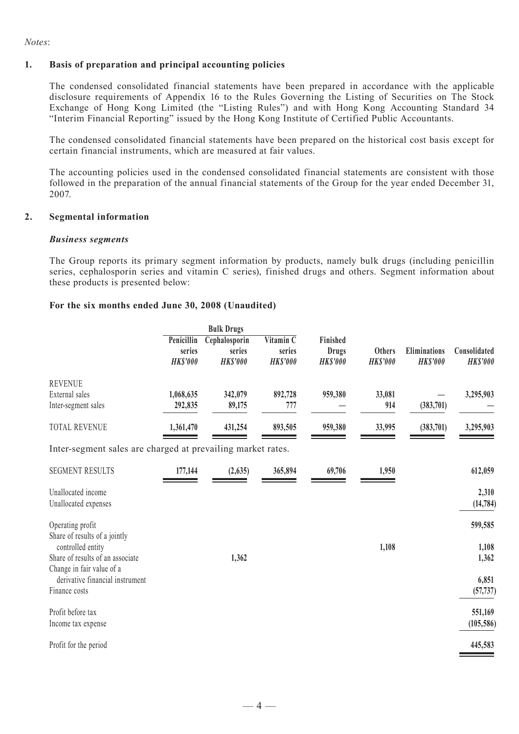#### *Notes*:

#### **1. Basis of preparation and principal accounting policies**

 The condensed consolidated financial statements have been prepared in accordance with the applicable disclosure requirements of Appendix 16 to the Rules Governing the Listing of Securities on The Stock Exchange of Hong Kong Limited (the "Listing Rules") and with Hong Kong Accounting Standard 34 "Interim Financial Reporting" issued by the Hong Kong Institute of Certified Public Accountants.

 The condensed consolidated financial statements have been prepared on the historical cost basis except for certain financial instruments, which are measured at fair values.

 The accounting policies used in the condensed consolidated financial statements are consistent with those followed in the preparation of the annual financial statements of the Group for the year ended December 31, 2007.

#### **2. Segmental information**

#### *Business segments*

 The Group reports its primary segment information by products, namely bulk drugs (including penicillin series, cephalosporin series and vitamin C series), finished drugs and others. Segment information about these products is presented below:

#### **For the six months ended June 30, 2008 (Unaudited)**

|                                                                                    | <b>Bulk Drugs</b>                       |                                            |                                                     |                                             |                                  |                                 |                                 |
|------------------------------------------------------------------------------------|-----------------------------------------|--------------------------------------------|-----------------------------------------------------|---------------------------------------------|----------------------------------|---------------------------------|---------------------------------|
|                                                                                    | Penicillin<br>series<br><b>HK\$'000</b> | Cephalosporin<br>series<br><b>HK\$'000</b> | Vitamin $\overline{C}$<br>series<br><b>HK\$'000</b> | Finished<br><b>Drugs</b><br><b>HK\$'000</b> | <b>Others</b><br><b>HK\$'000</b> | Eliminations<br><b>HK\$'000</b> | Consolidated<br><b>HK\$'000</b> |
| <b>REVENUE</b><br>External sales<br>Inter-segment sales                            | 1,068,635<br>292,835                    | 342,079<br>89,175                          | 892,728<br>777                                      | 959,380                                     | 33,081<br>914                    | (383,701)                       | 3,295,903                       |
| <b>TOTAL REVENUE</b>                                                               | 1,361,470                               | 431,254                                    | 893,505                                             | 959,380                                     | 33,995                           | (383,701)                       | 3,295,903                       |
| Inter-segment sales are charged at prevailing market rates.                        |                                         |                                            |                                                     |                                             |                                  |                                 |                                 |
| <b>SEGMENT RESULTS</b>                                                             | 177,144                                 | (2,635)                                    | 365,894                                             | 69,706                                      | 1,950                            |                                 | 612,059                         |
| Unallocated income<br>Unallocated expenses                                         |                                         |                                            |                                                     |                                             |                                  |                                 | 2,310<br>(14, 784)              |
| Operating profit<br>Share of results of a jointly                                  |                                         |                                            |                                                     |                                             |                                  |                                 | 599,585                         |
| controlled entity<br>Share of results of an associate<br>Change in fair value of a |                                         | 1,362                                      |                                                     |                                             | 1,108                            |                                 | 1,108<br>1,362                  |
| derivative financial instrument<br>Finance costs                                   |                                         |                                            |                                                     |                                             |                                  |                                 | 6,851<br>(57, 737)              |
| Profit before tax<br>Income tax expense                                            |                                         |                                            |                                                     |                                             |                                  |                                 | 551,169<br>(105, 586)           |
| Profit for the period                                                              |                                         |                                            |                                                     |                                             |                                  |                                 | 445,583                         |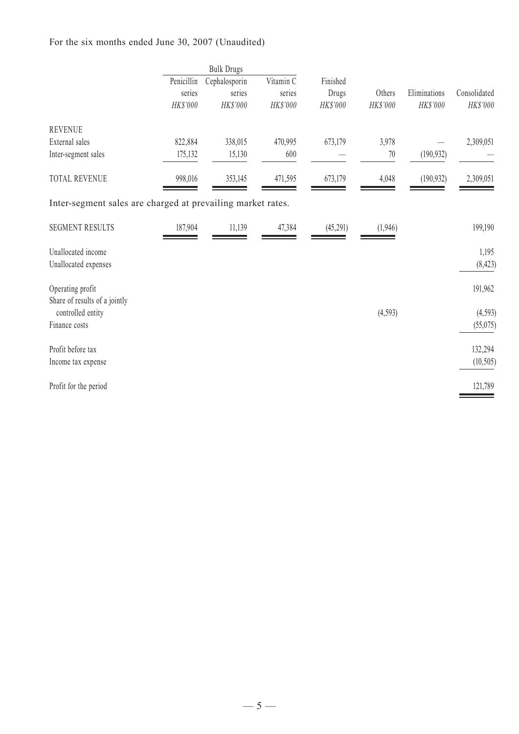# For the six months ended June 30, 2007 (Unaudited)

|                                                             |            | <b>Bulk Drugs</b> |           |           |          |              |              |
|-------------------------------------------------------------|------------|-------------------|-----------|-----------|----------|--------------|--------------|
|                                                             | Penicillin | Cephalosporin     | Vitamin C | Finished  |          |              |              |
|                                                             | series     | series            | series    | Drugs     | Others   | Eliminations | Consolidated |
|                                                             | HK\$'000   | HK\$'000          | HK\$'000  | HK\$'000  | HK\$'000 | HK\$'000     | HK\$'000     |
| <b>REVENUE</b>                                              |            |                   |           |           |          |              |              |
| External sales                                              | 822,884    | 338,015           | 470,995   | 673,179   | 3,978    |              | 2,309,051    |
| Inter-segment sales                                         | 175,132    | 15,130            | 600       |           | 70       | (190, 932)   |              |
| TOTAL REVENUE                                               | 998,016    | 353,145           | 471,595   | 673,179   | 4,048    | (190, 932)   | 2,309,051    |
| Inter-segment sales are charged at prevailing market rates. |            |                   |           |           |          |              |              |
| <b>SEGMENT RESULTS</b>                                      | 187,904    | 11,139            | 47,384    | (45, 291) | (1,946)  |              | 199,190      |
| Unallocated income                                          |            |                   |           |           |          |              | 1,195        |
| Unallocated expenses                                        |            |                   |           |           |          |              | (8, 423)     |
| Operating profit<br>Share of results of a jointly           |            |                   |           |           |          |              | 191,962      |
| controlled entity                                           |            |                   |           |           | (4,593)  |              | (4, 593)     |
| Finance costs                                               |            |                   |           |           |          |              | (55, 075)    |
| Profit before tax                                           |            |                   |           |           |          |              | 132,294      |
| Income tax expense                                          |            |                   |           |           |          |              | (10, 505)    |
| Profit for the period                                       |            |                   |           |           |          |              | 121,789      |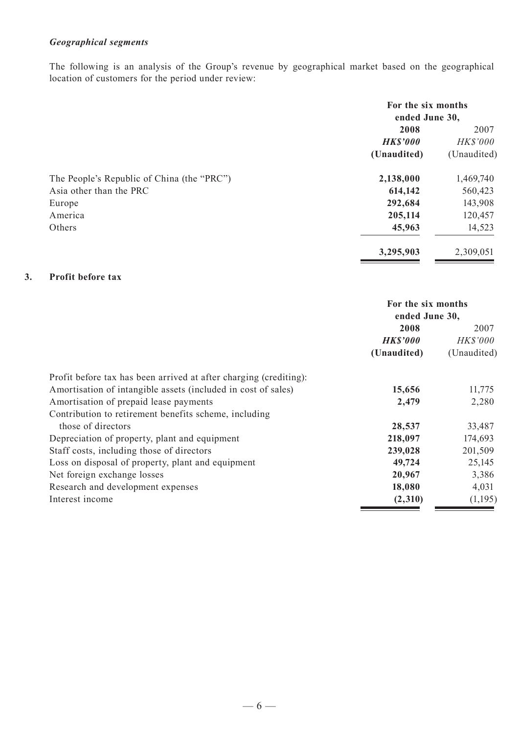# *Geographical segments*

The following is an analysis of the Group's revenue by geographical market based on the geographical location of customers for the period under review:

|                                            | For the six months<br>ended June 30, |                         |
|--------------------------------------------|--------------------------------------|-------------------------|
|                                            | 2008                                 | 2007                    |
|                                            | <b>HK\$'000</b><br>(Unaudited)       | HK\$'000<br>(Unaudited) |
| The People's Republic of China (the "PRC") | 2,138,000                            | 1,469,740               |
| Asia other than the PRC                    | 614,142                              | 560,423                 |
| Europe                                     | 292,684                              | 143,908                 |
| America                                    | 205,114                              | 120,457                 |
| Others                                     | 45,963                               | 14,523                  |
|                                            | 3,295,903                            | 2,309,051               |

### **3. Profit before tax**

|                                                                   | For the six months<br>ended June 30, |             |  |
|-------------------------------------------------------------------|--------------------------------------|-------------|--|
|                                                                   | 2008                                 | 2007        |  |
|                                                                   | <i><b>HK\$'000</b></i>               | HK\$'000    |  |
|                                                                   | (Unaudited)                          | (Unaudited) |  |
| Profit before tax has been arrived at after charging (crediting): |                                      |             |  |
| Amortisation of intangible assets (included in cost of sales)     | 15,656                               | 11,775      |  |
| Amortisation of prepaid lease payments                            | 2,479                                | 2,280       |  |
| Contribution to retirement benefits scheme, including             |                                      |             |  |
| those of directors                                                | 28,537                               | 33,487      |  |
| Depreciation of property, plant and equipment                     | 218,097                              | 174,693     |  |
| Staff costs, including those of directors                         | 239,028                              | 201,509     |  |
| Loss on disposal of property, plant and equipment                 | 49,724                               | 25,145      |  |
| Net foreign exchange losses                                       | 20,967                               | 3,386       |  |
| Research and development expenses                                 | 18,080                               | 4,031       |  |
| Interest income                                                   | (2,310)                              | (1,195)     |  |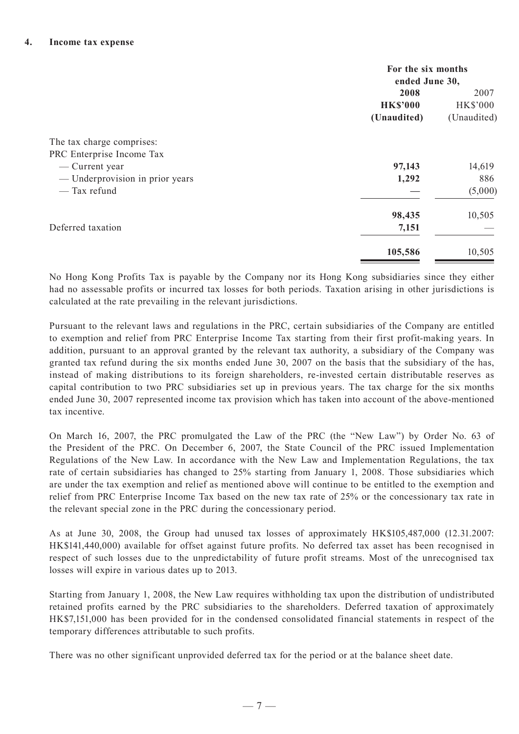|                                 | For the six months<br>ended June 30, |                         |
|---------------------------------|--------------------------------------|-------------------------|
|                                 | 2008<br><b>HK\$'000</b>              | 2007<br><b>HK\$'000</b> |
|                                 | (Unaudited)                          | (Unaudited)             |
| The tax charge comprises:       |                                      |                         |
| PRC Enterprise Income Tax       |                                      |                         |
| — Current year                  | 97,143                               | 14,619                  |
| — Underprovision in prior years | 1,292                                | 886                     |
| — Tax refund                    |                                      | (5,000)                 |
|                                 | 98,435                               | 10,505                  |
| Deferred taxation               | 7,151                                |                         |
|                                 | 105,586                              | 10,505                  |

No Hong Kong Profits Tax is payable by the Company nor its Hong Kong subsidiaries since they either had no assessable profits or incurred tax losses for both periods. Taxation arising in other jurisdictions is calculated at the rate prevailing in the relevant jurisdictions.

Pursuant to the relevant laws and regulations in the PRC, certain subsidiaries of the Company are entitled to exemption and relief from PRC Enterprise Income Tax starting from their first profit-making years. In addition, pursuant to an approval granted by the relevant tax authority, a subsidiary of the Company was granted tax refund during the six months ended June 30, 2007 on the basis that the subsidiary of the has, instead of making distributions to its foreign shareholders, re-invested certain distributable reserves as capital contribution to two PRC subsidiaries set up in previous years. The tax charge for the six months ended June 30, 2007 represented income tax provision which has taken into account of the above-mentioned tax incentive.

On March 16, 2007, the PRC promulgated the Law of the PRC (the "New Law") by Order No. 63 of the President of the PRC. On December 6, 2007, the State Council of the PRC issued Implementation Regulations of the New Law. In accordance with the New Law and Implementation Regulations, the tax rate of certain subsidiaries has changed to 25% starting from January 1, 2008. Those subsidiaries which are under the tax exemption and relief as mentioned above will continue to be entitled to the exemption and relief from PRC Enterprise Income Tax based on the new tax rate of 25% or the concessionary tax rate in the relevant special zone in the PRC during the concessionary period.

As at June 30, 2008, the Group had unused tax losses of approximately HK\$105,487,000 (12.31.2007: HK\$141,440,000) available for offset against future profits. No deferred tax asset has been recognised in respect of such losses due to the unpredictability of future profit streams. Most of the unrecognised tax losses will expire in various dates up to 2013.

Starting from January 1, 2008, the New Law requires withholding tax upon the distribution of undistributed retained profits earned by the PRC subsidiaries to the shareholders. Deferred taxation of approximately HK\$7,151,000 has been provided for in the condensed consolidated financial statements in respect of the temporary differences attributable to such profits.

There was no other significant unprovided deferred tax for the period or at the balance sheet date.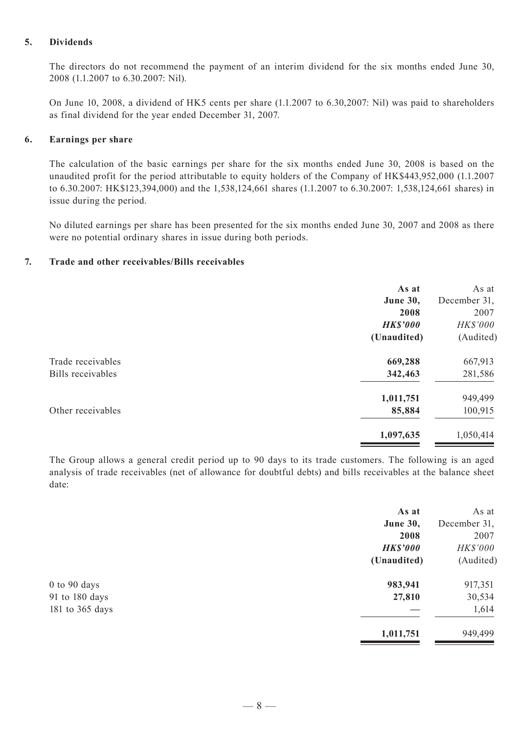### **5. Dividends**

The directors do not recommend the payment of an interim dividend for the six months ended June 30, 2008 (1.1.2007 to 6.30.2007: Nil).

On June 10, 2008, a dividend of HK5 cents per share (1.1.2007 to 6.30,2007: Nil) was paid to shareholders as final dividend for the year ended December 31, 2007.

#### **6. Earnings per share**

The calculation of the basic earnings per share for the six months ended June 30, 2008 is based on the unaudited profit for the period attributable to equity holders of the Company of HK\$443,952,000 (1.1.2007 to 6.30.2007: HK\$123,394,000) and the 1,538,124,661 shares (1.1.2007 to 6.30.2007: 1,538,124,661 shares) in issue during the period.

No diluted earnings per share has been presented for the six months ended June 30, 2007 and 2008 as there were no potential ordinary shares in issue during both periods.

#### **7. Trade and other receivables/Bills receivables**

|                          | As at<br><b>June 30,</b><br>2008<br><b>HK\$'000</b> | As at<br>December 31,<br>2007<br>HK\$'000 |
|--------------------------|-----------------------------------------------------|-------------------------------------------|
|                          | (Unaudited)                                         | (Audited)                                 |
| Trade receivables        | 669,288                                             | 667,913                                   |
| <b>Bills</b> receivables | 342,463                                             | 281,586                                   |
|                          | 1,011,751                                           | 949,499                                   |
| Other receivables        | 85,884                                              | 100,915                                   |
|                          | 1,097,635                                           | 1,050,414                                 |

The Group allows a general credit period up to 90 days to its trade customers. The following is an aged analysis of trade receivables (net of allowance for doubtful debts) and bills receivables at the balance sheet date:

| As at           | As at        |
|-----------------|--------------|
| June 30,        | December 31, |
| 2008            | 2007         |
| <b>HK\$'000</b> | HK\$'000     |
| (Unaudited)     | (Audited)    |
| 983,941         | 917,351      |
| 27,810          | 30,534       |
|                 | 1,614        |
| 1,011,751       | 949,499      |
|                 |              |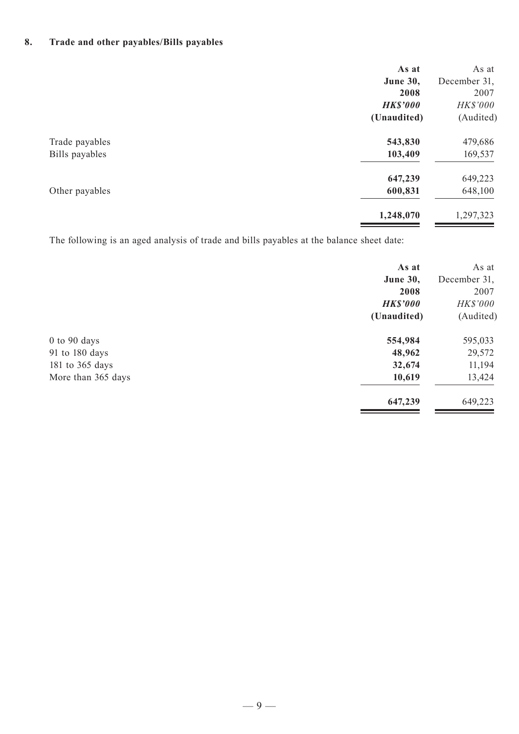# **8. Trade and other payables/Bills payables**

|                | As at           | As at        |
|----------------|-----------------|--------------|
|                | <b>June 30,</b> | December 31, |
|                | 2008            | 2007         |
|                | <b>HK\$'000</b> | HK\$'000     |
|                | (Unaudited)     | (Audited)    |
| Trade payables | 543,830         | 479,686      |
| Bills payables | 103,409         | 169,537      |
|                | 647,239         | 649,223      |
| Other payables | 600,831         | 648,100      |
|                | 1,248,070       | 1,297,323    |
|                |                 |              |

The following is an aged analysis of trade and bills payables at the balance sheet date:

|                    | As at           | As at        |
|--------------------|-----------------|--------------|
|                    | <b>June 30,</b> | December 31, |
|                    | 2008            | 2007         |
|                    | <b>HK\$'000</b> | HK\$'000     |
|                    | (Unaudited)     | (Audited)    |
| $0$ to $90$ days   | 554,984         | 595,033      |
| 91 to 180 days     | 48,962          | 29,572       |
| 181 to 365 days    | 32,674          | 11,194       |
| More than 365 days | 10,619          | 13,424       |
|                    | 647,239         | 649,223      |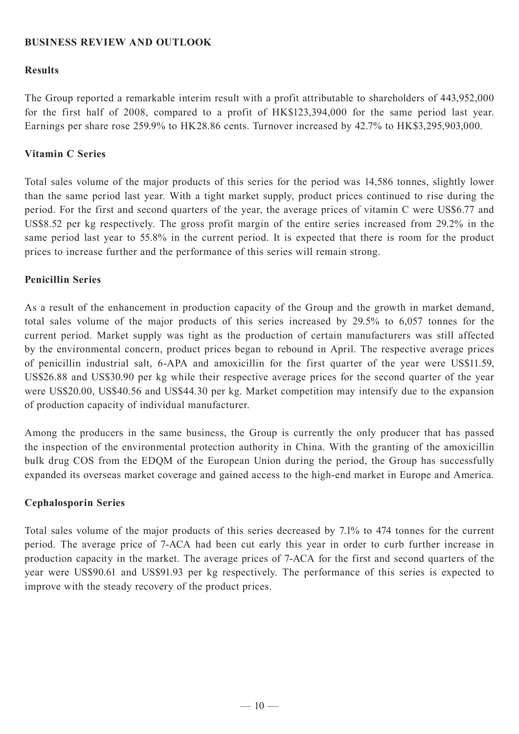# **BUSINESS REVIEW AND OUTLOOK**

# **Results**

The Group reported a remarkable interim result with a profit attributable to shareholders of 443,952,000 for the first half of 2008, compared to a profit of HK\$123,394,000 for the same period last year. Earnings per share rose 259.9% to HK28.86 cents. Turnover increased by 42.7% to HK\$3,295,903,000.

# **Vitamin C Series**

Total sales volume of the major products of this series for the period was 14,586 tonnes, slightly lower than the same period last year. With a tight market supply, product prices continued to rise during the period. For the first and second quarters of the year, the average prices of vitamin C were US\$6.77 and US\$8.52 per kg respectively. The gross profit margin of the entire series increased from 29.2% in the same period last year to 55.8% in the current period. It is expected that there is room for the product prices to increase further and the performance of this series will remain strong.

### **Penicillin Series**

As a result of the enhancement in production capacity of the Group and the growth in market demand, total sales volume of the major products of this series increased by 29.5% to 6,057 tonnes for the current period. Market supply was tight as the production of certain manufacturers was still affected by the environmental concern, product prices began to rebound in April. The respective average prices of penicillin industrial salt, 6-APA and amoxicillin for the first quarter of the year were US\$11.59, US\$26.88 and US\$30.90 per kg while their respective average prices for the second quarter of the year were US\$20.00, US\$40.56 and US\$44.30 per kg. Market competition may intensify due to the expansion of production capacity of individual manufacturer.

Among the producers in the same business, the Group is currently the only producer that has passed the inspection of the environmental protection authority in China. With the granting of the amoxicillin bulk drug COS from the EDQM of the European Union during the period, the Group has successfully expanded its overseas market coverage and gained access to the high-end market in Europe and America.

### **Cephalosporin Series**

Total sales volume of the major products of this series decreased by 7.1% to 474 tonnes for the current period. The average price of 7-ACA had been cut early this year in order to curb further increase in production capacity in the market. The average prices of 7-ACA for the first and second quarters of the year were US\$90.61 and US\$91.93 per kg respectively. The performance of this series is expected to improve with the steady recovery of the product prices.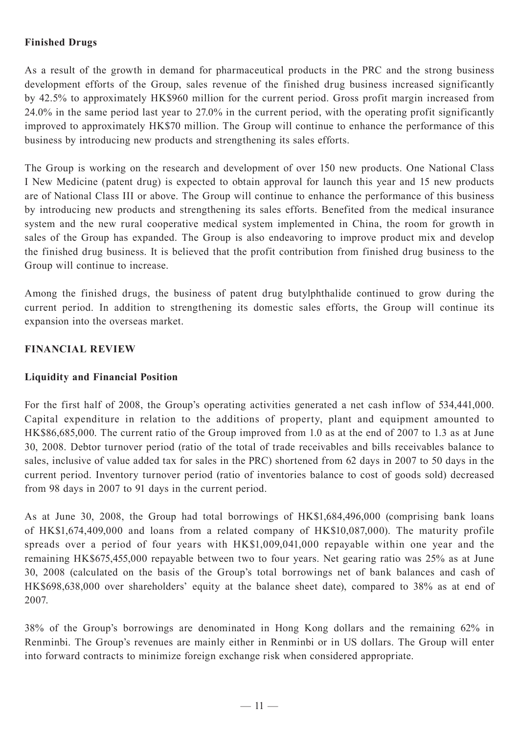# **Finished Drugs**

As a result of the growth in demand for pharmaceutical products in the PRC and the strong business development efforts of the Group, sales revenue of the finished drug business increased significantly by 42.5% to approximately HK\$960 million for the current period. Gross profit margin increased from 24.0% in the same period last year to 27.0% in the current period, with the operating profit significantly improved to approximately HK\$70 million. The Group will continue to enhance the performance of this business by introducing new products and strengthening its sales efforts.

The Group is working on the research and development of over 150 new products. One National Class I New Medicine (patent drug) is expected to obtain approval for launch this year and 15 new products are of National Class III or above. The Group will continue to enhance the performance of this business by introducing new products and strengthening its sales efforts. Benefited from the medical insurance system and the new rural cooperative medical system implemented in China, the room for growth in sales of the Group has expanded. The Group is also endeavoring to improve product mix and develop the finished drug business. It is believed that the profit contribution from finished drug business to the Group will continue to increase.

Among the finished drugs, the business of patent drug butylphthalide continued to grow during the current period. In addition to strengthening its domestic sales efforts, the Group will continue its expansion into the overseas market.

### **FINANCIAL REVIEW**

### **Liquidity and Financial Position**

For the first half of 2008, the Group's operating activities generated a net cash inflow of 534,441,000. Capital expenditure in relation to the additions of property, plant and equipment amounted to HK\$86,685,000. The current ratio of the Group improved from 1.0 as at the end of 2007 to 1.3 as at June 30, 2008. Debtor turnover period (ratio of the total of trade receivables and bills receivables balance to sales, inclusive of value added tax for sales in the PRC) shortened from 62 days in 2007 to 50 days in the current period. Inventory turnover period (ratio of inventories balance to cost of goods sold) decreased from 98 days in 2007 to 91 days in the current period.

As at June 30, 2008, the Group had total borrowings of HK\$1,684,496,000 (comprising bank loans of HK\$1,674,409,000 and loans from a related company of HK\$10,087,000). The maturity profile spreads over a period of four years with HK\$1,009,041,000 repayable within one year and the remaining HK\$675,455,000 repayable between two to four years. Net gearing ratio was 25% as at June 30, 2008 (calculated on the basis of the Group's total borrowings net of bank balances and cash of HK\$698,638,000 over shareholders' equity at the balance sheet date), compared to 38% as at end of 2007.

38% of the Group's borrowings are denominated in Hong Kong dollars and the remaining 62% in Renminbi. The Group's revenues are mainly either in Renminbi or in US dollars. The Group will enter into forward contracts to minimize foreign exchange risk when considered appropriate.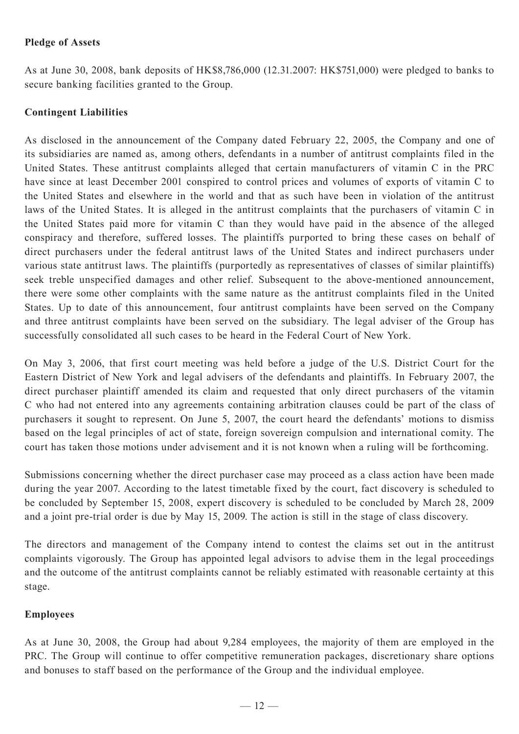# **Pledge of Assets**

As at June 30, 2008, bank deposits of HK\$8,786,000 (12.31.2007: HK\$751,000) were pledged to banks to secure banking facilities granted to the Group.

# **Contingent Liabilities**

As disclosed in the announcement of the Company dated February 22, 2005, the Company and one of its subsidiaries are named as, among others, defendants in a number of antitrust complaints filed in the United States. These antitrust complaints alleged that certain manufacturers of vitamin C in the PRC have since at least December 2001 conspired to control prices and volumes of exports of vitamin C to the United States and elsewhere in the world and that as such have been in violation of the antitrust laws of the United States. It is alleged in the antitrust complaints that the purchasers of vitamin C in the United States paid more for vitamin C than they would have paid in the absence of the alleged conspiracy and therefore, suffered losses. The plaintiffs purported to bring these cases on behalf of direct purchasers under the federal antitrust laws of the United States and indirect purchasers under various state antitrust laws. The plaintiffs (purportedly as representatives of classes of similar plaintiffs) seek treble unspecified damages and other relief. Subsequent to the above-mentioned announcement, there were some other complaints with the same nature as the antitrust complaints filed in the United States. Up to date of this announcement, four antitrust complaints have been served on the Company and three antitrust complaints have been served on the subsidiary. The legal adviser of the Group has successfully consolidated all such cases to be heard in the Federal Court of New York.

On May 3, 2006, that first court meeting was held before a judge of the U.S. District Court for the Eastern District of New York and legal advisers of the defendants and plaintiffs. In February 2007, the direct purchaser plaintiff amended its claim and requested that only direct purchasers of the vitamin C who had not entered into any agreements containing arbitration clauses could be part of the class of purchasers it sought to represent. On June 5, 2007, the court heard the defendants' motions to dismiss based on the legal principles of act of state, foreign sovereign compulsion and international comity. The court has taken those motions under advisement and it is not known when a ruling will be forthcoming.

Submissions concerning whether the direct purchaser case may proceed as a class action have been made during the year 2007. According to the latest timetable fixed by the court, fact discovery is scheduled to be concluded by September 15, 2008, expert discovery is scheduled to be concluded by March 28, 2009 and a joint pre-trial order is due by May 15, 2009. The action is still in the stage of class discovery.

The directors and management of the Company intend to contest the claims set out in the antitrust complaints vigorously. The Group has appointed legal advisors to advise them in the legal proceedings and the outcome of the antitrust complaints cannot be reliably estimated with reasonable certainty at this stage.

### **Employees**

As at June 30, 2008, the Group had about 9,284 employees, the majority of them are employed in the PRC. The Group will continue to offer competitive remuneration packages, discretionary share options and bonuses to staff based on the performance of the Group and the individual employee.